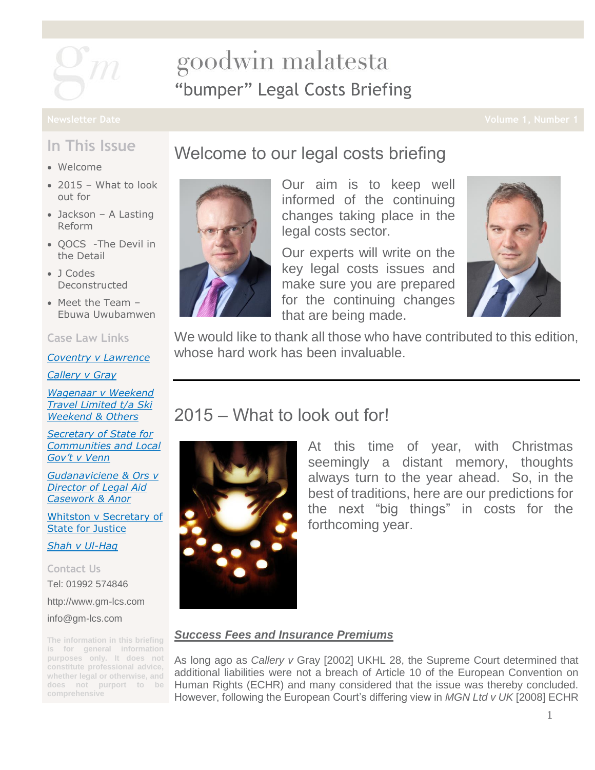

# goodwin malatesta "bumper" Legal Costs Briefing

### **In This Issue**

- Welcome
- $\bullet$  2015 What to look out for
- Jackson A Lasting Reform
- OOCS -The Devil in the Detail
- J Codes Deconstructed
- Meet the Team Ebuwa Uwubamwen

#### **Case Law Links**

*[Coventry v Lawrence](http://www.bailii.org/uk/cases/UKSC/2014/13.html)*

*[Callery v Gray](http://www.bailii.org/uk/cases/UKHL/2002/28.html)*

*[Wagenaar v Weekend](http://www.bailii.org/ew/cases/EWCA/Civ/2014/1105.html)  [Travel Limited t/a Ski](http://www.bailii.org/ew/cases/EWCA/Civ/2014/1105.html)  [Weekend & Others](http://www.bailii.org/ew/cases/EWCA/Civ/2014/1105.html)*

*[Secretary of State for](http://www.bailii.org/ew/cases/EWCA/Civ/2014/1539.html)  [Communities and Local](http://www.bailii.org/ew/cases/EWCA/Civ/2014/1539.html)  [Gov't v Venn](http://www.bailii.org/ew/cases/EWCA/Civ/2014/1539.html)*

*[Gudanaviciene & Ors v](http://www.bailii.org/ew/cases/EWHC/Admin/2014/1840.html)  [Director of Legal Aid](http://www.bailii.org/ew/cases/EWHC/Admin/2014/1840.html)  [Casework & Anor](http://www.bailii.org/ew/cases/EWHC/Admin/2014/1840.html)*

[Whitston v Secretary of](http://www.bailii.org/ew/cases/EWHC/Admin/2014/3044.html)  [State for Justice](http://www.bailii.org/ew/cases/EWHC/Admin/2014/3044.html)

*[Shah v Ul-Haq](http://www.bailii.org/ew/cases/EWCA/Civ/2009/542.html)*

**Contact Us** Tel: 01992 574846 [http://www.gm-lcs.com](http://www.gm-lcs.com/) [info@gm-lcs.com](mailto:info@gm-lcs.com)

**The information in this briefing is for general information purposes only. It does not constitute professional advice, whether legal or otherwise, and does not purport to be comprehensive**

## Welcome to our legal costs briefing



Our aim is to keep well informed of the continuing changes taking place in the legal costs sector.

Our experts will write on the key legal costs issues and make sure you are prepared for the continuing changes that are being made.



We would like to thank all those who have contributed to this edition, whose hard work has been invaluable.

## 2015 – What to look out for!



At this time of year, with Christmas seemingly a distant memory, thoughts always turn to the year ahead. So, in the best of traditions, here are our predictions for the next "big things" in costs for the forthcoming year.

#### *Success Fees and Insurance Premiums*

As long ago as *Callery v* Gray [2002] UKHL 28, the Supreme Court determined that additional liabilities were not a breach of Article 10 of the European Convention on Human Rights (ECHR) and many considered that the issue was thereby concluded. However, following the European Court's differing view in *MGN Ltd v UK* [2008] ECHR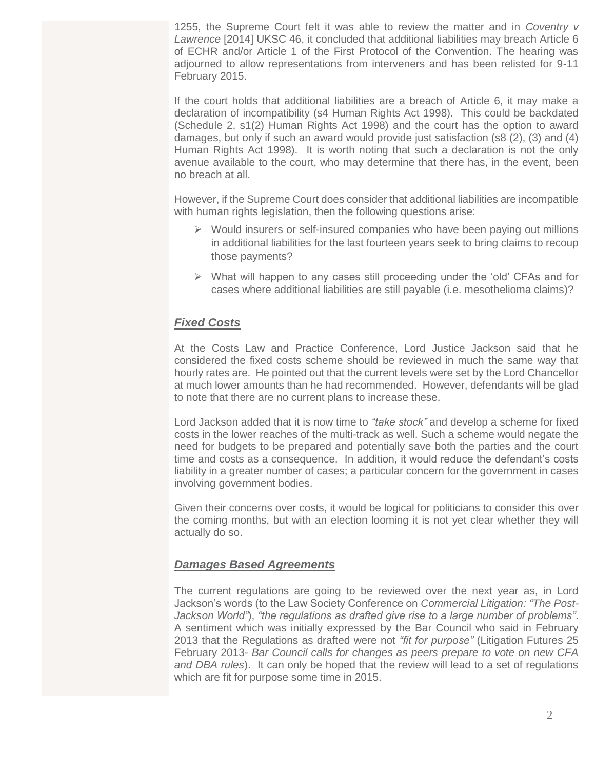1255, the Supreme Court felt it was able to review the matter and in *Coventry v Lawrence* [2014] UKSC 46, it concluded that additional liabilities may breach Article 6 of ECHR and/or Article 1 of the First Protocol of the Convention. The hearing was adjourned to allow representations from interveners and has been relisted for 9-11 February 2015.

If the court holds that additional liabilities are a breach of Article 6, it may make a declaration of incompatibility (s4 Human Rights Act 1998). This could be backdated (Schedule 2, s1(2) Human Rights Act 1998) and the court has the option to award damages, but only if such an award would provide just satisfaction (s8 (2), (3) and (4) Human Rights Act 1998). It is worth noting that such a declaration is not the only avenue available to the court, who may determine that there has, in the event, been no breach at all.

However, if the Supreme Court does consider that additional liabilities are incompatible with human rights legislation, then the following questions arise:

- $\triangleright$  Would insurers or self-insured companies who have been paying out millions in additional liabilities for the last fourteen years seek to bring claims to recoup those payments?
- $\triangleright$  What will happen to any cases still proceeding under the 'old' CFAs and for cases where additional liabilities are still payable (i.e. mesothelioma claims)?

#### *Fixed Costs*

At the Costs Law and Practice Conference, Lord Justice Jackson said that he considered the fixed costs scheme should be reviewed in much the same way that hourly rates are. He pointed out that the current levels were set by the Lord Chancellor at much lower amounts than he had recommended. However, defendants will be glad to note that there are no current plans to increase these.

Lord Jackson added that it is now time to *"take stock"* and develop a scheme for fixed costs in the lower reaches of the multi-track as well. Such a scheme would negate the need for budgets to be prepared and potentially save both the parties and the court time and costs as a consequence. In addition, it would reduce the defendant's costs liability in a greater number of cases; a particular concern for the government in cases involving government bodies.

Given their concerns over costs, it would be logical for politicians to consider this over the coming months, but with an election looming it is not yet clear whether they will actually do so.

#### *Damages Based Agreements*

The current regulations are going to be reviewed over the next year as, in Lord Jackson's words (to the Law Society Conference on *Commercial Litigation: "The Post-Jackson World"*), *"the regulations as drafted give rise to a large number of problems"*. A sentiment which was initially expressed by the Bar Council who said in February 2013 that the Regulations as drafted were not *"fit for purpose"* (Litigation Futures 25 February 2013*- Bar Council calls for changes as peers prepare to vote on new CFA and DBA rules*). It can only be hoped that the review will lead to a set of regulations which are fit for purpose some time in 2015.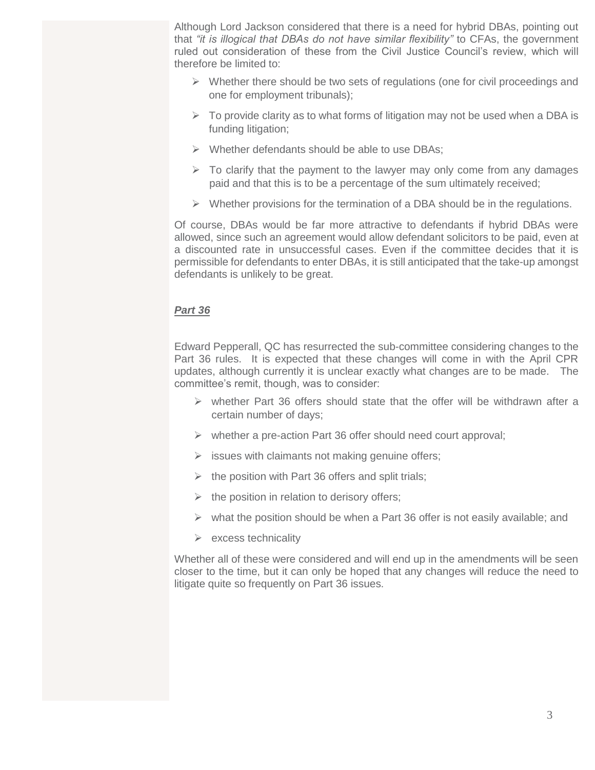Although Lord Jackson considered that there is a need for hybrid DBAs, pointing out that *"it is illogical that DBAs do not have similar flexibility"* to CFAs, the government ruled out consideration of these from the Civil Justice Council's review, which will therefore be limited to:

- $\triangleright$  Whether there should be two sets of regulations (one for civil proceedings and one for employment tribunals);
- $\triangleright$  To provide clarity as to what forms of litigation may not be used when a DBA is funding litigation;
- $\triangleright$  Whether defendants should be able to use DBAs:
- $\triangleright$  To clarify that the payment to the lawyer may only come from any damages paid and that this is to be a percentage of the sum ultimately received;
- $\triangleright$  Whether provisions for the termination of a DBA should be in the regulations.

Of course, DBAs would be far more attractive to defendants if hybrid DBAs were allowed, since such an agreement would allow defendant solicitors to be paid, even at a discounted rate in unsuccessful cases. Even if the committee decides that it is permissible for defendants to enter DBAs, it is still anticipated that the take-up amongst defendants is unlikely to be great.

#### *Part 36*

Edward Pepperall, QC has resurrected the sub-committee considering changes to the Part 36 rules. It is expected that these changes will come in with the April CPR updates, although currently it is unclear exactly what changes are to be made. The committee's remit, though, was to consider:

- $\triangleright$  whether Part 36 offers should state that the offer will be withdrawn after a certain number of days;
- $\triangleright$  whether a pre-action Part 36 offer should need court approval;
- $\triangleright$  issues with claimants not making genuine offers;
- $\triangleright$  the position with Part 36 offers and split trials;
- $\triangleright$  the position in relation to derisory offers;
- $\triangleright$  what the position should be when a Part 36 offer is not easily available; and
- $\triangleright$  excess technicality

Whether all of these were considered and will end up in the amendments will be seen closer to the time, but it can only be hoped that any changes will reduce the need to litigate quite so frequently on Part 36 issues.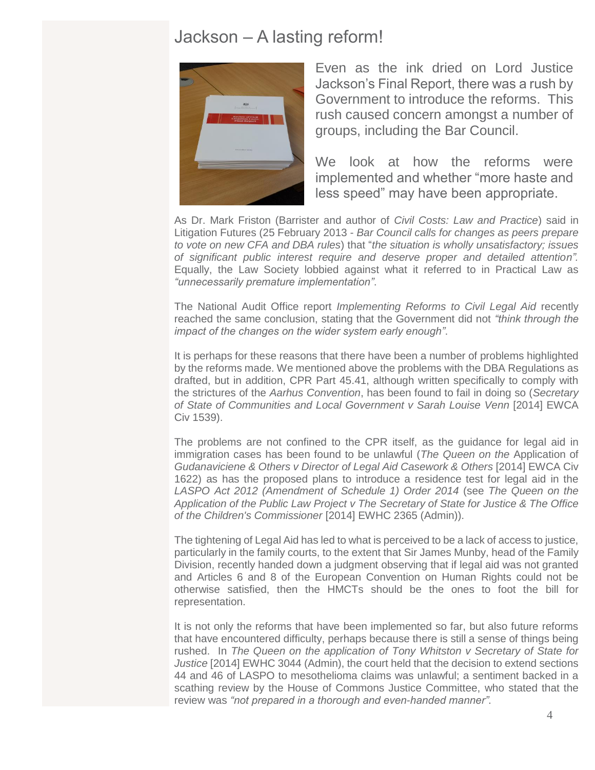### Jackson – A lasting reform!



Even as the ink dried on Lord Justice Jackson's Final Report, there was a rush by Government to introduce the reforms. This rush caused concern amongst a number of groups, including the Bar Council.

We look at how the reforms were implemented and whether "more haste and less speed" may have been appropriate.

As Dr. Mark Friston (Barrister and author of *Civil Costs: Law and Practice*) said in Litigation Futures (25 February 2013 - *Bar Council calls for changes as peers prepare to vote on new CFA and DBA rules*) that "*the situation is wholly unsatisfactory; issues of significant public interest require and deserve proper and detailed attention".*  Equally, the Law Society lobbied against what it referred to in Practical Law as *"unnecessarily premature implementation"*.

The National Audit Office report *Implementing Reforms to Civil Legal Aid* recently reached the same conclusion, stating that the Government did not *"think through the impact of the changes on the wider system early enough"*.

It is perhaps for these reasons that there have been a number of problems highlighted by the reforms made. We mentioned above the problems with the DBA Regulations as drafted, but in addition, CPR Part 45.41, although written specifically to comply with the strictures of the *Aarhus Convention*, has been found to fail in doing so (*Secretary of State of Communities and Local Government v Sarah Louise Venn* [2014] EWCA Civ 1539).

The problems are not confined to the CPR itself, as the guidance for legal aid in immigration cases has been found to be unlawful (*The Queen on the* Application of *Gudanaviciene & Others v Director of Legal Aid Casework & Others* [2014] EWCA Civ 1622) as has the proposed plans to introduce a residence test for legal aid in the *LASPO Act 2012 (Amendment of Schedule 1) Order 2014* (see *The Queen on the Application of the Public Law Project v The Secretary of State for Justice & The Office of the Children's Commissioner* [2014] EWHC 2365 (Admin)).

The tightening of Legal Aid has led to what is perceived to be a lack of access to justice, particularly in the family courts, to the extent that Sir James Munby, head of the Family Division, recently handed down a judgment observing that if legal aid was not granted and Articles 6 and 8 of the European Convention on Human Rights could not be otherwise satisfied, then the HMCTs should be the ones to foot the bill for representation.

It is not only the reforms that have been implemented so far, but also future reforms that have encountered difficulty, perhaps because there is still a sense of things being rushed. In *The Queen on the application of Tony Whitston v Secretary of State for Justice* [2014] EWHC 3044 (Admin), the court held that the decision to extend sections 44 and 46 of LASPO to mesothelioma claims was unlawful; a sentiment backed in a scathing review by the House of Commons Justice Committee, who stated that the review was *"not prepared in a thorough and even-handed manner"*.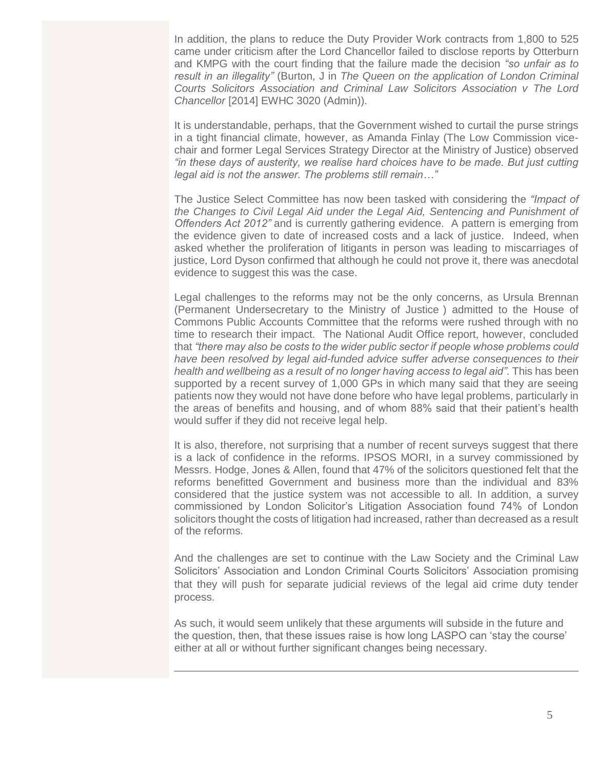In addition, the plans to reduce the Duty Provider Work contracts from 1,800 to 525 came under criticism after the Lord Chancellor failed to disclose reports by Otterburn and KMPG with the court finding that the failure made the decision *"so unfair as to result in an illegality"* (Burton, J in *The Queen on the application of London Criminal Courts Solicitors Association and Criminal Law Solicitors Association v The Lord Chancellor* [2014] EWHC 3020 (Admin)).

It is understandable, perhaps, that the Government wished to curtail the purse strings in a tight financial climate, however, as Amanda Finlay (The Low Commission vicechair and former Legal Services Strategy Director at the Ministry of Justice) observed *"in these days of austerity, we realise hard choices have to be made. But just cutting legal aid is not the answer. The problems still remain…"*

The Justice Select Committee has now been tasked with considering the *"Impact of the Changes to Civil Legal Aid under the Legal Aid, Sentencing and Punishment of Offenders Act 2012"* and is currently gathering evidence. A pattern is emerging from the evidence given to date of increased costs and a lack of justice. Indeed, when asked whether the proliferation of litigants in person was leading to miscarriages of justice, Lord Dyson confirmed that although he could not prove it, there was anecdotal evidence to suggest this was the case.

Legal challenges to the reforms may not be the only concerns, as Ursula Brennan (Permanent Undersecretary to the Ministry of Justice ) admitted to the House of Commons Public Accounts Committee that the reforms were rushed through with no time to research their impact. The National Audit Office report, however, concluded that *"there may also be costs to the wider public sector if people whose problems could have been resolved by legal aid-funded advice suffer adverse consequences to their health and wellbeing as a result of no longer having access to legal aid"*. This has been supported by a recent survey of 1,000 GPs in which many said that they are seeing patients now they would not have done before who have legal problems, particularly in the areas of benefits and housing, and of whom 88% said that their patient's health would suffer if they did not receive legal help.

It is also, therefore, not surprising that a number of recent surveys suggest that there is a lack of confidence in the reforms. IPSOS MORI, in a survey commissioned by Messrs. Hodge, Jones & Allen, found that 47% of the solicitors questioned felt that the reforms benefitted Government and business more than the individual and 83% considered that the justice system was not accessible to all. In addition, a survey commissioned by London Solicitor's Litigation Association found 74% of London solicitors thought the costs of litigation had increased, rather than decreased as a result of the reforms.

And the challenges are set to continue with the Law Society and the Criminal Law Solicitors' Association and London Criminal Courts Solicitors' Association promising that they will push for separate judicial reviews of the legal aid crime duty tender process.

As such, it would seem unlikely that these arguments will subside in the future and the question, then, that these issues raise is how long LASPO can 'stay the course' either at all or without further significant changes being necessary.

\_\_\_\_\_\_\_\_\_\_\_\_\_\_\_\_\_\_\_\_\_\_\_\_\_\_\_\_\_\_\_\_\_\_\_\_\_\_\_\_\_\_\_\_\_\_\_\_\_\_\_\_\_\_\_\_\_\_\_\_\_\_\_\_\_\_\_\_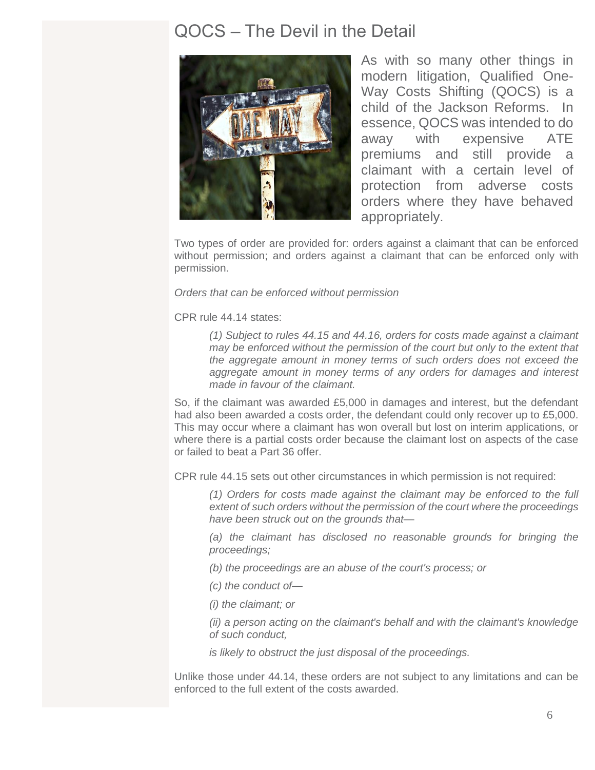### QOCS – The Devil in the Detail



As with so many other things in modern litigation, Qualified One-Way Costs Shifting (QOCS) is a child of the Jackson Reforms. In essence, QOCS was intended to do away with expensive ATE premiums and still provide a claimant with a certain level of protection from adverse costs orders where they have behaved appropriately.

Two types of order are provided for: orders against a claimant that can be enforced without permission; and orders against a claimant that can be enforced only with permission.

#### *Orders that can be enforced without permission*

CPR rule 44.14 states:

*(1) Subject to rules 44.15 and 44.16, orders for costs made against a claimant may be enforced without the permission of the court but only to the extent that the aggregate amount in money terms of such orders does not exceed the aggregate amount in money terms of any orders for damages and interest made in favour of the claimant.*

So, if the claimant was awarded £5,000 in damages and interest, but the defendant had also been awarded a costs order, the defendant could only recover up to £5,000. This may occur where a claimant has won overall but lost on interim applications, or where there is a partial costs order because the claimant lost on aspects of the case or failed to beat a Part 36 offer.

CPR rule 44.15 sets out other circumstances in which permission is not required:

*(1) Orders for costs made against the claimant may be enforced to the full extent of such orders without the permission of the court where the proceedings have been struck out on the grounds that—*

*(a) the claimant has disclosed no reasonable grounds for bringing the proceedings;*

*(b) the proceedings are an abuse of the court's process; or*

*(c) the conduct of—*

*(i) the claimant; or*

*(ii) a person acting on the claimant's behalf and with the claimant's knowledge of such conduct,* 

*is likely to obstruct the just disposal of the proceedings.*

Unlike those under 44.14, these orders are not subject to any limitations and can be enforced to the full extent of the costs awarded.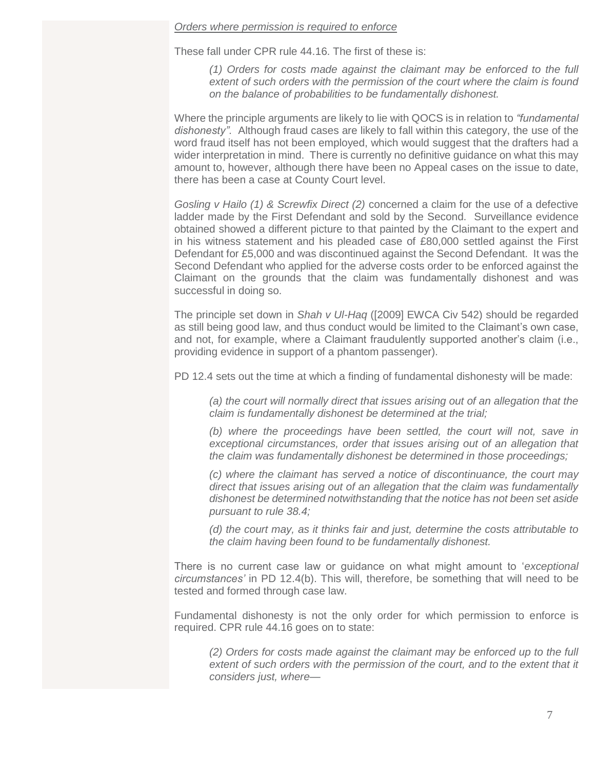#### *Orders where permission is required to enforce*

These fall under CPR rule 44.16. The first of these is:

*(1) Orders for costs made against the claimant may be enforced to the full extent of such orders with the permission of the court where the claim is found on the balance of probabilities to be fundamentally dishonest.*

Where the principle arguments are likely to lie with QOCS is in relation to *"fundamental dishonesty"*. Although fraud cases are likely to fall within this category, the use of the word fraud itself has not been employed, which would suggest that the drafters had a wider interpretation in mind. There is currently no definitive guidance on what this may amount to, however, although there have been no Appeal cases on the issue to date, there has been a case at County Court level.

*Gosling v Hailo (1) & Screwfix Direct (2)* concerned a claim for the use of a defective ladder made by the First Defendant and sold by the Second. Surveillance evidence obtained showed a different picture to that painted by the Claimant to the expert and in his witness statement and his pleaded case of £80,000 settled against the First Defendant for £5,000 and was discontinued against the Second Defendant. It was the Second Defendant who applied for the adverse costs order to be enforced against the Claimant on the grounds that the claim was fundamentally dishonest and was successful in doing so.

The principle set down in *Shah v Ul-Haq* ([2009] EWCA Civ 542) should be regarded as still being good law, and thus conduct would be limited to the Claimant's own case, and not, for example, where a Claimant fraudulently supported another's claim (i.e., providing evidence in support of a phantom passenger).

PD 12.4 sets out the time at which a finding of fundamental dishonesty will be made:

*(a) the court will normally direct that issues arising out of an allegation that the claim is fundamentally dishonest be determined at the trial;*

*(b) where the proceedings have been settled, the court will not, save in exceptional circumstances, order that issues arising out of an allegation that the claim was fundamentally dishonest be determined in those proceedings;*

*(c) where the claimant has served a notice of discontinuance, the court may direct that issues arising out of an allegation that the claim was fundamentally dishonest be determined notwithstanding that the notice has not been set aside pursuant to rule 38.4;*

*(d) the court may, as it thinks fair and just, determine the costs attributable to the claim having been found to be fundamentally dishonest.*

There is no current case law or guidance on what might amount to '*exceptional circumstances'* in PD 12.4(b). This will, therefore, be something that will need to be tested and formed through case law.

Fundamental dishonesty is not the only order for which permission to enforce is required. CPR rule 44.16 goes on to state:

*(2) Orders for costs made against the claimant may be enforced up to the full*  extent of such orders with the permission of the court, and to the extent that it *considers just, where—*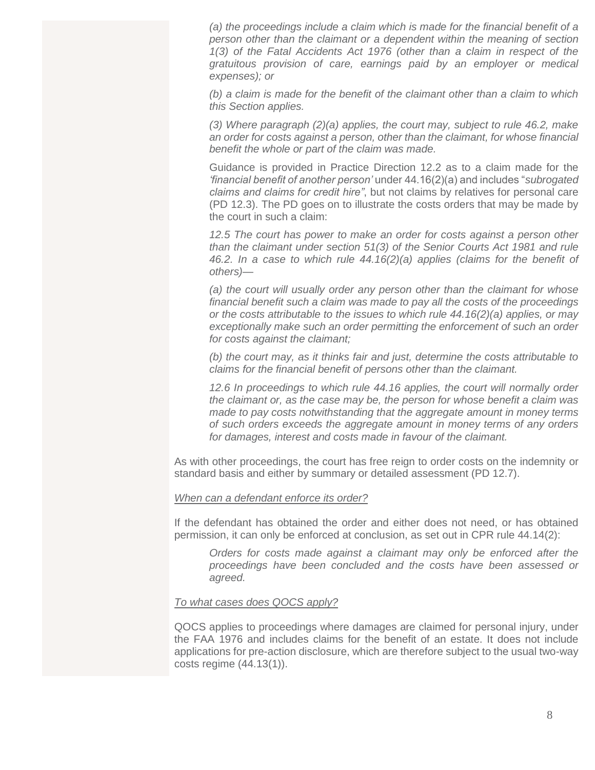*(a) the proceedings include a claim which is made for the financial benefit of a person other than the claimant or a dependent within the meaning of section 1(3) of the Fatal Accidents Act 1976 (other than a claim in respect of the gratuitous provision of care, earnings paid by an employer or medical expenses); or*

*(b) a claim is made for the benefit of the claimant other than a claim to which this Section applies.*

*(3) Where paragraph (2)(a) applies, the court may, subject to rule 46.2, make an order for costs against a person, other than the claimant, for whose financial benefit the whole or part of the claim was made.*

Guidance is provided in Practice Direction 12.2 as to a claim made for the *'financial benefit of another person'* under 44.16(2)(a) and includes "*subrogated claims and claims for credit hire"*, but not claims by relatives for personal care (PD 12.3). The PD goes on to illustrate the costs orders that may be made by the court in such a claim:

*12.5 The court has power to make an order for costs against a person other than the claimant under section 51(3) of the Senior Courts Act 1981 and rule 46.2. In a case to which rule 44.16(2)(a) applies (claims for the benefit of others)—*

*(a) the court will usually order any person other than the claimant for whose financial benefit such a claim was made to pay all the costs of the proceedings or the costs attributable to the issues to which rule 44.16(2)(a) applies, or may exceptionally make such an order permitting the enforcement of such an order for costs against the claimant;*

*(b) the court may, as it thinks fair and just, determine the costs attributable to claims for the financial benefit of persons other than the claimant.*

*12.6 In proceedings to which rule 44.16 applies, the court will normally order the claimant or, as the case may be, the person for whose benefit a claim was made to pay costs notwithstanding that the aggregate amount in money terms of such orders exceeds the aggregate amount in money terms of any orders for damages, interest and costs made in favour of the claimant.*

As with other proceedings, the court has free reign to order costs on the indemnity or standard basis and either by summary or detailed assessment (PD 12.7).

#### *When can a defendant enforce its order?*

If the defendant has obtained the order and either does not need, or has obtained permission, it can only be enforced at conclusion, as set out in CPR rule 44.14(2):

*Orders for costs made against a claimant may only be enforced after the proceedings have been concluded and the costs have been assessed or agreed.*

#### *To what cases does QOCS apply?*

QOCS applies to proceedings where damages are claimed for personal injury, under the FAA 1976 and includes claims for the benefit of an estate. It does not include applications for pre-action disclosure, which are therefore subject to the usual two-way costs regime (44.13(1)).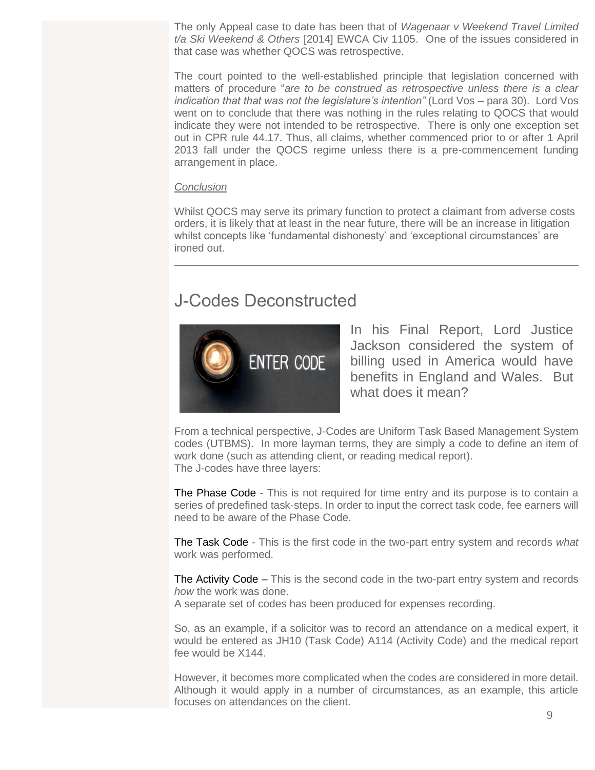The only Appeal case to date has been that of *Wagenaar v Weekend Travel Limited t/a Ski Weekend & Others* [2014] EWCA Civ 1105. One of the issues considered in that case was whether QOCS was retrospective.

The court pointed to the well-established principle that legislation concerned with matters of procedure "*are to be construed as retrospective unless there is a clear indication that that was not the legislature's intention"* (Lord Vos – para 30). Lord Vos went on to conclude that there was nothing in the rules relating to QOCS that would indicate they were not intended to be retrospective. There is only one exception set out in CPR rule 44.17. Thus, all claims, whether commenced prior to or after 1 April 2013 fall under the QOCS regime unless there is a pre-commencement funding arrangement in place.

#### *Conclusion*

Whilst QOCS may serve its primary function to protect a claimant from adverse costs orders, it is likely that at least in the near future, there will be an increase in litigation whilst concepts like 'fundamental dishonesty' and 'exceptional circumstances' are ironed out.

\_\_\_\_\_\_\_\_\_\_\_\_\_\_\_\_\_\_\_\_\_\_\_\_\_\_\_\_\_\_\_\_\_\_\_\_\_\_\_\_\_\_\_\_\_\_\_\_\_\_\_\_\_\_\_\_\_\_\_\_\_\_\_\_\_\_\_\_

## J-Codes Deconstructed



In his Final Report, Lord Justice Jackson considered the system of billing used in America would have benefits in England and Wales. But what does it mean?

From a technical perspective, J-Codes are Uniform Task Based Management System codes (UTBMS). In more layman terms, they are simply a code to define an item of work done (such as attending client, or reading medical report). The J-codes have three layers:

The Phase Code - This is not required for time entry and its purpose is to contain a series of predefined task-steps. In order to input the correct task code, fee earners will need to be aware of the Phase Code.

The Task Code - This is the first code in the two-part entry system and records *what* work was performed.

The Activity Code – This is the second code in the two-part entry system and records *how* the work was done.

A separate set of codes has been produced for expenses recording.

So, as an example, if a solicitor was to record an attendance on a medical expert, it would be entered as JH10 (Task Code) A114 (Activity Code) and the medical report fee would be X144.

However, it becomes more complicated when the codes are considered in more detail. Although it would apply in a number of circumstances, as an example, this article focuses on attendances on the client.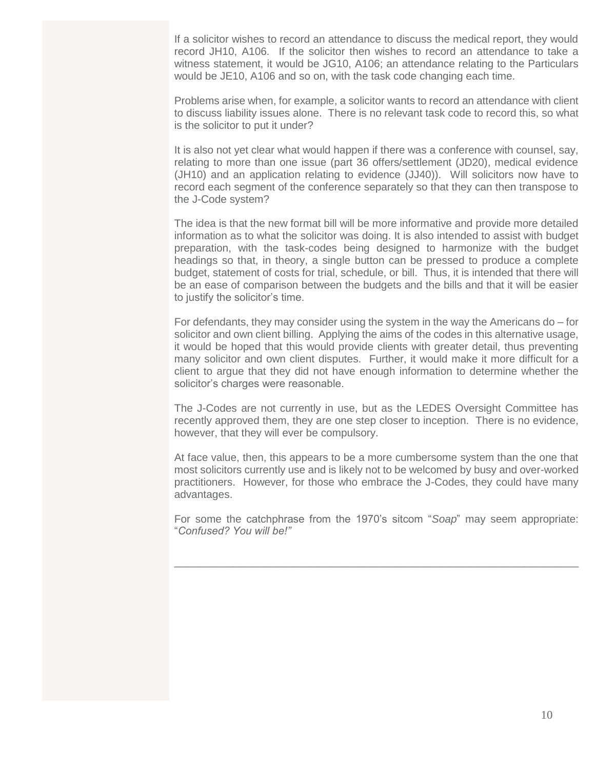If a solicitor wishes to record an attendance to discuss the medical report, they would record JH10, A106. If the solicitor then wishes to record an attendance to take a witness statement, it would be JG10, A106; an attendance relating to the Particulars would be JE10, A106 and so on, with the task code changing each time.

Problems arise when, for example, a solicitor wants to record an attendance with client to discuss liability issues alone. There is no relevant task code to record this, so what is the solicitor to put it under?

It is also not yet clear what would happen if there was a conference with counsel, say, relating to more than one issue (part 36 offers/settlement (JD20), medical evidence (JH10) and an application relating to evidence (JJ40)). Will solicitors now have to record each segment of the conference separately so that they can then transpose to the J-Code system?

The idea is that the new format bill will be more informative and provide more detailed information as to what the solicitor was doing. It is also intended to assist with budget preparation, with the task-codes being designed to harmonize with the budget headings so that, in theory, a single button can be pressed to produce a complete budget, statement of costs for trial, schedule, or bill. Thus, it is intended that there will be an ease of comparison between the budgets and the bills and that it will be easier to justify the solicitor's time.

For defendants, they may consider using the system in the way the Americans do – for solicitor and own client billing. Applying the aims of the codes in this alternative usage, it would be hoped that this would provide clients with greater detail, thus preventing many solicitor and own client disputes. Further, it would make it more difficult for a client to argue that they did not have enough information to determine whether the solicitor's charges were reasonable.

The J-Codes are not currently in use, but as the LEDES Oversight Committee has recently approved them, they are one step closer to inception. There is no evidence, however, that they will ever be compulsory.

At face value, then, this appears to be a more cumbersome system than the one that most solicitors currently use and is likely not to be welcomed by busy and over-worked practitioners. However, for those who embrace the J-Codes, they could have many advantages.

For some the catchphrase from the 1970's sitcom "*Soap*" may seem appropriate: "*Confused? You will be!"*

\_\_\_\_\_\_\_\_\_\_\_\_\_\_\_\_\_\_\_\_\_\_\_\_\_\_\_\_\_\_\_\_\_\_\_\_\_\_\_\_\_\_\_\_\_\_\_\_\_\_\_\_\_\_\_\_\_\_\_\_\_\_\_\_\_\_\_\_